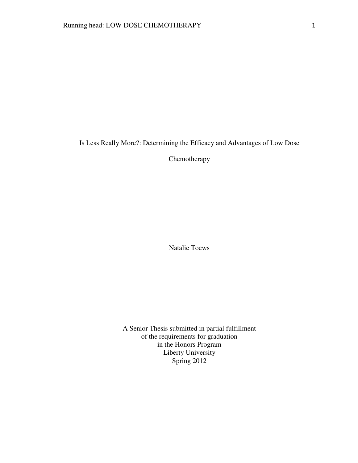Is Less Really More?: Determining the Efficacy and Advantages of Low Dose

Chemotherapy

Natalie Toews

A Senior Thesis submitted in partial fulfillment of the requirements for graduation in the Honors Program Liberty University Spring 2012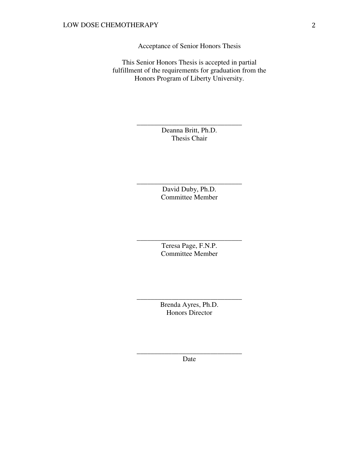Acceptance of Senior Honors Thesis

This Senior Honors Thesis is accepted in partial fulfillment of the requirements for graduation from the Honors Program of Liberty University.

> Deanna Britt, Ph.D. Thesis Chair

\_\_\_\_\_\_\_\_\_\_\_\_\_\_\_\_\_\_\_\_\_\_\_\_\_\_\_\_\_\_

David Duby, Ph.D. Committee Member

\_\_\_\_\_\_\_\_\_\_\_\_\_\_\_\_\_\_\_\_\_\_\_\_\_\_\_\_\_\_

Teresa Page, F.N.P. Committee Member

\_\_\_\_\_\_\_\_\_\_\_\_\_\_\_\_\_\_\_\_\_\_\_\_\_\_\_\_\_\_

Brenda Ayres, Ph.D. Honors Director

\_\_\_\_\_\_\_\_\_\_\_\_\_\_\_\_\_\_\_\_\_\_\_\_\_\_\_\_\_\_

\_\_\_\_\_\_\_\_\_\_\_\_\_\_\_\_\_\_\_\_\_\_\_\_\_\_\_\_\_\_ Date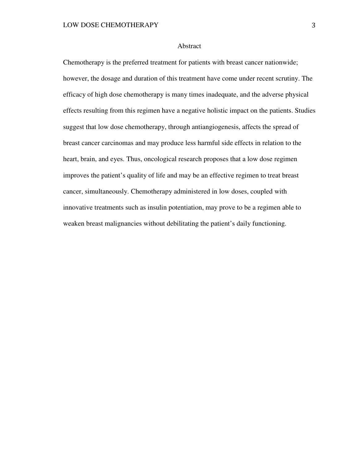# Abstract

Chemotherapy is the preferred treatment for patients with breast cancer nationwide; however, the dosage and duration of this treatment have come under recent scrutiny. The efficacy of high dose chemotherapy is many times inadequate, and the adverse physical effects resulting from this regimen have a negative holistic impact on the patients. Studies suggest that low dose chemotherapy, through antiangiogenesis, affects the spread of breast cancer carcinomas and may produce less harmful side effects in relation to the heart, brain, and eyes. Thus, oncological research proposes that a low dose regimen improves the patient's quality of life and may be an effective regimen to treat breast cancer, simultaneously. Chemotherapy administered in low doses, coupled with innovative treatments such as insulin potentiation, may prove to be a regimen able to weaken breast malignancies without debilitating the patient's daily functioning.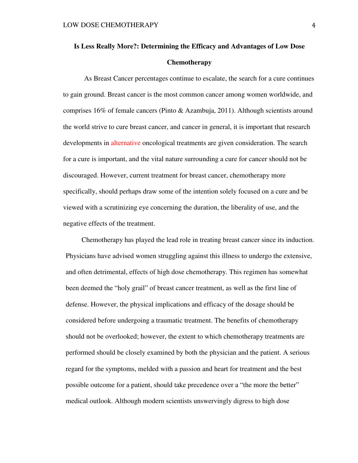# **Is Less Really More?: Determining the Efficacy and Advantages of Low Dose Chemotherapy**

 As Breast Cancer percentages continue to escalate, the search for a cure continues to gain ground. Breast cancer is the most common cancer among women worldwide, and comprises 16% of female cancers (Pinto & Azambuja, 2011). Although scientists around the world strive to cure breast cancer, and cancer in general, it is important that research developments in alternative oncological treatments are given consideration. The search for a cure is important, and the vital nature surrounding a cure for cancer should not be discouraged. However, current treatment for breast cancer, chemotherapy more specifically, should perhaps draw some of the intention solely focused on a cure and be viewed with a scrutinizing eye concerning the duration, the liberality of use, and the negative effects of the treatment.

 Chemotherapy has played the lead role in treating breast cancer since its induction. Physicians have advised women struggling against this illness to undergo the extensive, and often detrimental, effects of high dose chemotherapy. This regimen has somewhat been deemed the "holy grail" of breast cancer treatment, as well as the first line of defense. However, the physical implications and efficacy of the dosage should be considered before undergoing a traumatic treatment. The benefits of chemotherapy should not be overlooked; however, the extent to which chemotherapy treatments are performed should be closely examined by both the physician and the patient. A serious regard for the symptoms, melded with a passion and heart for treatment and the best possible outcome for a patient, should take precedence over a "the more the better" medical outlook. Although modern scientists unswervingly digress to high dose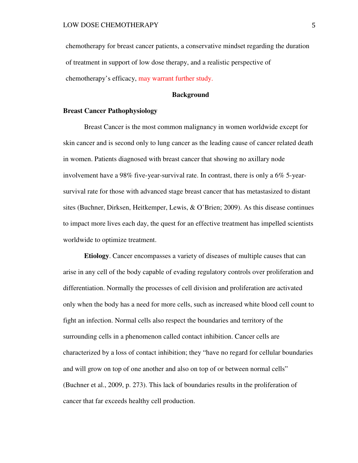chemotherapy for breast cancer patients, a conservative mindset regarding the duration of treatment in support of low dose therapy, and a realistic perspective of chemotherapy's efficacy, may warrant further study.

# **Background**

## **Breast Cancer Pathophysiology**

Breast Cancer is the most common malignancy in women worldwide except for skin cancer and is second only to lung cancer as the leading cause of cancer related death in women. Patients diagnosed with breast cancer that showing no axillary node involvement have a 98% five-year-survival rate. In contrast, there is only a 6% 5-yearsurvival rate for those with advanced stage breast cancer that has metastasized to distant sites (Buchner, Dirksen, Heitkemper, Lewis, & O'Brien; 2009). As this disease continues to impact more lives each day, the quest for an effective treatment has impelled scientists worldwide to optimize treatment.

**Etiology**. Cancer encompasses a variety of diseases of multiple causes that can arise in any cell of the body capable of evading regulatory controls over proliferation and differentiation. Normally the processes of cell division and proliferation are activated only when the body has a need for more cells, such as increased white blood cell count to fight an infection. Normal cells also respect the boundaries and territory of the surrounding cells in a phenomenon called contact inhibition. Cancer cells are characterized by a loss of contact inhibition; they "have no regard for cellular boundaries and will grow on top of one another and also on top of or between normal cells" (Buchner et al., 2009, p. 273). This lack of boundaries results in the proliferation of cancer that far exceeds healthy cell production.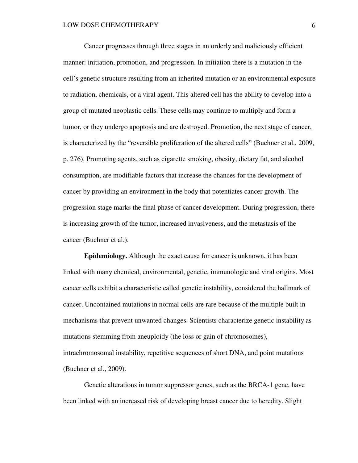Cancer progresses through three stages in an orderly and maliciously efficient manner: initiation, promotion, and progression. In initiation there is a mutation in the cell's genetic structure resulting from an inherited mutation or an environmental exposure to radiation, chemicals, or a viral agent. This altered cell has the ability to develop into a group of mutated neoplastic cells. These cells may continue to multiply and form a tumor, or they undergo apoptosis and are destroyed. Promotion, the next stage of cancer, is characterized by the "reversible proliferation of the altered cells" (Buchner et al., 2009, p. 276). Promoting agents, such as cigarette smoking, obesity, dietary fat, and alcohol consumption, are modifiable factors that increase the chances for the development of cancer by providing an environment in the body that potentiates cancer growth. The progression stage marks the final phase of cancer development. During progression, there is increasing growth of the tumor, increased invasiveness, and the metastasis of the cancer (Buchner et al.).

**Epidemiology.** Although the exact cause for cancer is unknown, it has been linked with many chemical, environmental, genetic, immunologic and viral origins. Most cancer cells exhibit a characteristic called genetic instability, considered the hallmark of cancer. Uncontained mutations in normal cells are rare because of the multiple built in mechanisms that prevent unwanted changes. Scientists characterize genetic instability as mutations stemming from aneuploidy (the loss or gain of chromosomes), intrachromosomal instability, repetitive sequences of short DNA, and point mutations (Buchner et al., 2009).

Genetic alterations in tumor suppressor genes, such as the BRCA-1 gene, have been linked with an increased risk of developing breast cancer due to heredity. Slight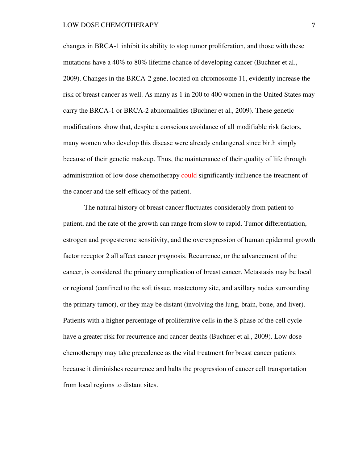changes in BRCA-1 inhibit its ability to stop tumor proliferation, and those with these mutations have a 40% to 80% lifetime chance of developing cancer (Buchner et al., 2009). Changes in the BRCA-2 gene, located on chromosome 11, evidently increase the risk of breast cancer as well. As many as 1 in 200 to 400 women in the United States may carry the BRCA-1 or BRCA-2 abnormalities (Buchner et al., 2009). These genetic modifications show that, despite a conscious avoidance of all modifiable risk factors, many women who develop this disease were already endangered since birth simply because of their genetic makeup. Thus, the maintenance of their quality of life through administration of low dose chemotherapy could significantly influence the treatment of the cancer and the self-efficacy of the patient.

The natural history of breast cancer fluctuates considerably from patient to patient, and the rate of the growth can range from slow to rapid. Tumor differentiation, estrogen and progesterone sensitivity, and the overexpression of human epidermal growth factor receptor 2 all affect cancer prognosis. Recurrence, or the advancement of the cancer, is considered the primary complication of breast cancer. Metastasis may be local or regional (confined to the soft tissue, mastectomy site, and axillary nodes surrounding the primary tumor), or they may be distant (involving the lung, brain, bone, and liver). Patients with a higher percentage of proliferative cells in the S phase of the cell cycle have a greater risk for recurrence and cancer deaths (Buchner et al., 2009). Low dose chemotherapy may take precedence as the vital treatment for breast cancer patients because it diminishes recurrence and halts the progression of cancer cell transportation from local regions to distant sites.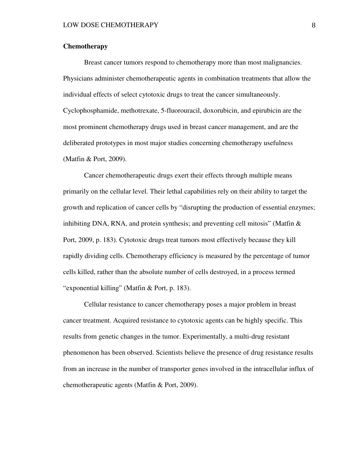# **Chemotherapy**

 Breast cancer tumors respond to chemotherapy more than most malignancies. Physicians administer chemotherapeutic agents in combination treatments that allow the individual effects of select cytotoxic drugs to treat the cancer simultaneously. Cyclophosphamide, methotrexate, 5-fluorouracil, doxorubicin, and epirubicin are the most prominent chemotherapy drugs used in breast cancer management, and are the deliberated prototypes in most major studies concerning chemotherapy usefulness (Matfin & Port, 2009).

 Cancer chemotherapeutic drugs exert their effects through multiple means primarily on the cellular level. Their lethal capabilities rely on their ability to target the growth and replication of cancer cells by "disrupting the production of essential enzymes; inhibiting DNA, RNA, and protein synthesis; and preventing cell mitosis" (Matfin  $\&$ Port, 2009, p. 183). Cytotoxic drugs treat tumors most effectively because they kill rapidly dividing cells. Chemotherapy efficiency is measured by the percentage of tumor cells killed, rather than the absolute number of cells destroyed, in a process termed "exponential killing" (Matfin & Port, p. 183).

 Cellular resistance to cancer chemotherapy poses a major problem in breast cancer treatment. Acquired resistance to cytotoxic agents can be highly specific. This results from genetic changes in the tumor. Experimentally, a multi-drug resistant phenomenon has been observed. Scientists believe the presence of drug resistance results from an increase in the number of transporter genes involved in the intracellular influx of chemotherapeutic agents (Matfin & Port, 2009).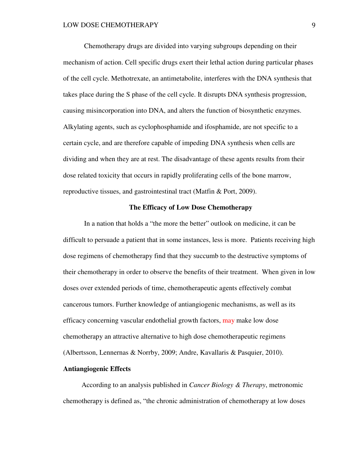Chemotherapy drugs are divided into varying subgroups depending on their mechanism of action. Cell specific drugs exert their lethal action during particular phases of the cell cycle. Methotrexate, an antimetabolite, interferes with the DNA synthesis that takes place during the S phase of the cell cycle. It disrupts DNA synthesis progression, causing misincorporation into DNA, and alters the function of biosynthetic enzymes. Alkylating agents, such as cyclophosphamide and ifosphamide, are not specific to a certain cycle, and are therefore capable of impeding DNA synthesis when cells are dividing and when they are at rest. The disadvantage of these agents results from their dose related toxicity that occurs in rapidly proliferating cells of the bone marrow, reproductive tissues, and gastrointestinal tract (Matfin & Port, 2009).

# **The Efficacy of Low Dose Chemotherapy**

 In a nation that holds a "the more the better" outlook on medicine, it can be difficult to persuade a patient that in some instances, less is more. Patients receiving high dose regimens of chemotherapy find that they succumb to the destructive symptoms of their chemotherapy in order to observe the benefits of their treatment. When given in low doses over extended periods of time, chemotherapeutic agents effectively combat cancerous tumors. Further knowledge of antiangiogenic mechanisms, as well as its efficacy concerning vascular endothelial growth factors, may make low dose chemotherapy an attractive alternative to high dose chemotherapeutic regimens (Albertsson, Lennernas & Norrby, 2009; Andre, Kavallaris & Pasquier, 2010).

# **Antiangiogenic Effects**

 According to an analysis published in *Cancer Biology & Therapy*, metronomic chemotherapy is defined as, "the chronic administration of chemotherapy at low doses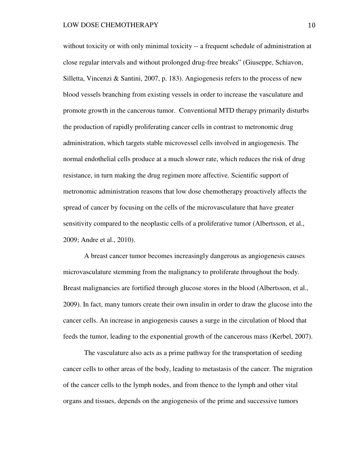without toxicity or with only minimal toxicity -- a frequent schedule of administration at close regular intervals and without prolonged drug-free breaks" (Giuseppe, Schiavon, Silletta, Vincenzi & Santini, 2007, p. 183). Angiogenesis refers to the process of new blood vessels branching from existing vessels in order to increase the vasculature and promote growth in the cancerous tumor. Conventional MTD therapy primarily disturbs the production of rapidly proliferating cancer cells in contrast to metronomic drug administration, which targets stable microvessel cells involved in angiogenesis. The normal endothelial cells produce at a much slower rate, which reduces the risk of drug resistance, in turn making the drug regimen more affective. Scientific support of metronomic administration reasons that low dose chemotherapy proactively affects the spread of cancer by focusing on the cells of the microvasculature that have greater sensitivity compared to the neoplastic cells of a proliferative tumor (Albertsson, et al., 2009; Andre et al., 2010).

A breast cancer tumor becomes increasingly dangerous as angiogenesis causes microvasculature stemming from the malignancy to proliferate throughout the body. Breast malignancies are fortified through glucose stores in the blood (Albertsson, et al., 2009). In fact, many tumors create their own insulin in order to draw the glucose into the cancer cells. An increase in angiogenesis causes a surge in the circulation of blood that feeds the tumor, leading to the exponential growth of the cancerous mass (Kerbel, 2007).

The vasculature also acts as a prime pathway for the transportation of seeding cancer cells to other areas of the body, leading to metastasis of the cancer. The migration of the cancer cells to the lymph nodes, and from thence to the lymph and other vital organs and tissues, depends on the angiogenesis of the prime and successive tumors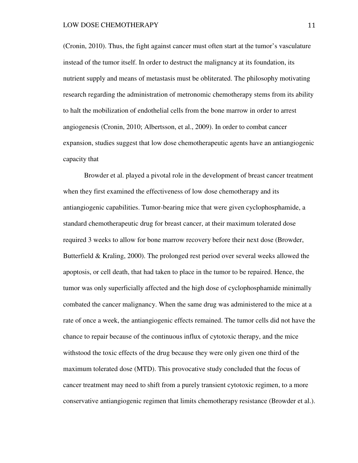(Cronin, 2010). Thus, the fight against cancer must often start at the tumor's vasculature instead of the tumor itself. In order to destruct the malignancy at its foundation, its nutrient supply and means of metastasis must be obliterated. The philosophy motivating research regarding the administration of metronomic chemotherapy stems from its ability to halt the mobilization of endothelial cells from the bone marrow in order to arrest angiogenesis (Cronin, 2010; Albertsson, et al., 2009). In order to combat cancer expansion, studies suggest that low dose chemotherapeutic agents have an antiangiogenic capacity that

Browder et al. played a pivotal role in the development of breast cancer treatment when they first examined the effectiveness of low dose chemotherapy and its antiangiogenic capabilities. Tumor-bearing mice that were given cyclophosphamide, a standard chemotherapeutic drug for breast cancer, at their maximum tolerated dose required 3 weeks to allow for bone marrow recovery before their next dose (Browder, Butterfield & Kraling, 2000). The prolonged rest period over several weeks allowed the apoptosis, or cell death, that had taken to place in the tumor to be repaired. Hence, the tumor was only superficially affected and the high dose of cyclophosphamide minimally combated the cancer malignancy. When the same drug was administered to the mice at a rate of once a week, the antiangiogenic effects remained. The tumor cells did not have the chance to repair because of the continuous influx of cytotoxic therapy, and the mice withstood the toxic effects of the drug because they were only given one third of the maximum tolerated dose (MTD). This provocative study concluded that the focus of cancer treatment may need to shift from a purely transient cytotoxic regimen, to a more conservative antiangiogenic regimen that limits chemotherapy resistance (Browder et al.).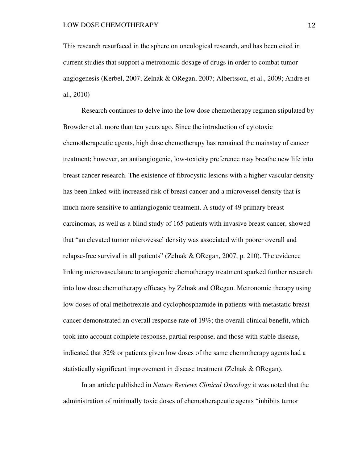This research resurfaced in the sphere on oncological research, and has been cited in current studies that support a metronomic dosage of drugs in order to combat tumor angiogenesis (Kerbel, 2007; Zelnak & ORegan, 2007; Albertsson, et al., 2009; Andre et al., 2010)

 Research continues to delve into the low dose chemotherapy regimen stipulated by Browder et al. more than ten years ago. Since the introduction of cytotoxic chemotherapeutic agents, high dose chemotherapy has remained the mainstay of cancer treatment; however, an antiangiogenic, low-toxicity preference may breathe new life into breast cancer research. The existence of fibrocystic lesions with a higher vascular density has been linked with increased risk of breast cancer and a microvessel density that is much more sensitive to antiangiogenic treatment. A study of 49 primary breast carcinomas, as well as a blind study of 165 patients with invasive breast cancer, showed that "an elevated tumor microvessel density was associated with poorer overall and relapse-free survival in all patients" (Zelnak & ORegan, 2007, p. 210). The evidence linking microvasculature to angiogenic chemotherapy treatment sparked further research into low dose chemotherapy efficacy by Zelnak and ORegan. Metronomic therapy using low doses of oral methotrexate and cyclophosphamide in patients with metastatic breast cancer demonstrated an overall response rate of 19%; the overall clinical benefit, which took into account complete response, partial response, and those with stable disease, indicated that 32% or patients given low doses of the same chemotherapy agents had a statistically significant improvement in disease treatment (Zelnak & ORegan).

 In an article published in *Nature Reviews Clinical Oncology* it was noted that the administration of minimally toxic doses of chemotherapeutic agents "inhibits tumor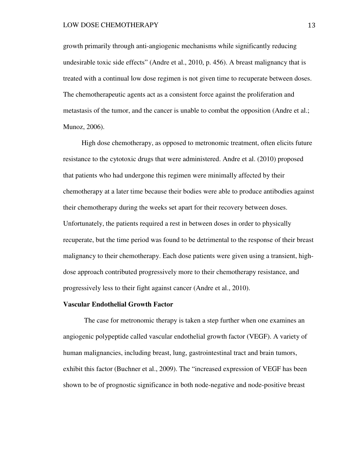#### LOW DOSE CHEMOTHERAPY 13

growth primarily through anti-angiogenic mechanisms while significantly reducing undesirable toxic side effects" (Andre et al., 2010, p. 456). A breast malignancy that is treated with a continual low dose regimen is not given time to recuperate between doses. The chemotherapeutic agents act as a consistent force against the proliferation and metastasis of the tumor, and the cancer is unable to combat the opposition (Andre et al.; Munoz, 2006).

 High dose chemotherapy, as opposed to metronomic treatment, often elicits future resistance to the cytotoxic drugs that were administered. Andre et al. (2010) proposed that patients who had undergone this regimen were minimally affected by their chemotherapy at a later time because their bodies were able to produce antibodies against their chemotherapy during the weeks set apart for their recovery between doses. Unfortunately, the patients required a rest in between doses in order to physically recuperate, but the time period was found to be detrimental to the response of their breast malignancy to their chemotherapy. Each dose patients were given using a transient, highdose approach contributed progressively more to their chemotherapy resistance, and progressively less to their fight against cancer (Andre et al., 2010).

#### **Vascular Endothelial Growth Factor**

 The case for metronomic therapy is taken a step further when one examines an angiogenic polypeptide called vascular endothelial growth factor (VEGF). A variety of human malignancies, including breast, lung, gastrointestinal tract and brain tumors, exhibit this factor (Buchner et al., 2009). The "increased expression of VEGF has been shown to be of prognostic significance in both node-negative and node-positive breast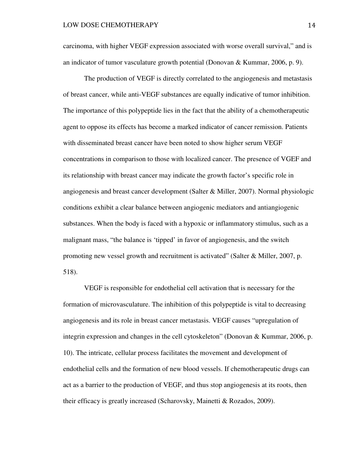carcinoma, with higher VEGF expression associated with worse overall survival," and is an indicator of tumor vasculature growth potential (Donovan & Kummar, 2006, p. 9).

The production of VEGF is directly correlated to the angiogenesis and metastasis of breast cancer, while anti-VEGF substances are equally indicative of tumor inhibition. The importance of this polypeptide lies in the fact that the ability of a chemotherapeutic agent to oppose its effects has become a marked indicator of cancer remission. Patients with disseminated breast cancer have been noted to show higher serum VEGF concentrations in comparison to those with localized cancer. The presence of VGEF and its relationship with breast cancer may indicate the growth factor's specific role in angiogenesis and breast cancer development (Salter & Miller, 2007). Normal physiologic conditions exhibit a clear balance between angiogenic mediators and antiangiogenic substances. When the body is faced with a hypoxic or inflammatory stimulus, such as a malignant mass, "the balance is 'tipped' in favor of angiogenesis, and the switch promoting new vessel growth and recruitment is activated" (Salter  $\&$  Miller, 2007, p. 518).

 VEGF is responsible for endothelial cell activation that is necessary for the formation of microvasculature. The inhibition of this polypeptide is vital to decreasing angiogenesis and its role in breast cancer metastasis. VEGF causes "upregulation of integrin expression and changes in the cell cytoskeleton" (Donovan & Kummar, 2006, p. 10). The intricate, cellular process facilitates the movement and development of endothelial cells and the formation of new blood vessels. If chemotherapeutic drugs can act as a barrier to the production of VEGF, and thus stop angiogenesis at its roots, then their efficacy is greatly increased (Scharovsky, Mainetti & Rozados, 2009).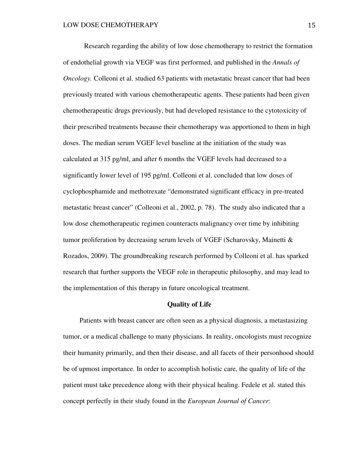Research regarding the ability of low dose chemotherapy to restrict the formation of endothelial growth via VEGF was first performed, and published in the *Annals of Oncology*. Colleoni et al. studied 63 patients with metastatic breast cancer that had been previously treated with various chemotherapeutic agents. These patients had been given chemotherapeutic drugs previously, but had developed resistance to the cytotoxicity of their prescribed treatments because their chemotherapy was apportioned to them in high doses. The median serum VGEF level baseline at the initiation of the study was calculated at 315 pg/ml, and after 6 months the VGEF levels had decreased to a significantly lower level of 195 pg/ml. Colleoni et al. concluded that low doses of cyclophosphamide and methotrexate "demonstrated significant efficacy in pre-treated metastatic breast cancer" (Colleoni et al., 2002, p. 78). The study also indicated that a low dose chemotherapeutic regimen counteracts malignancy over time by inhibiting tumor proliferation by decreasing serum levels of VGEF (Scharovsky, Mainetti & Rozados, 2009). The groundbreaking research performed by Colleoni et al. has sparked research that further supports the VEGF role in therapeutic philosophy, and may lead to the implementation of this therapy in future oncological treatment.

#### **Quality of Life**

 Patients with breast cancer are often seen as a physical diagnosis, a metastasizing tumor, or a medical challenge to many physicians. In reality, oncologists must recognize their humanity primarily, and then their disease, and all facets of their personhood should be of upmost importance. In order to accomplish holistic care, the quality of life of the patient must take precedence along with their physical healing. Fedele et al. stated this concept perfectly in their study found in the *European Journal of Cancer*: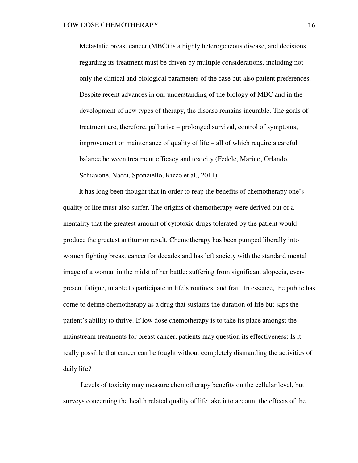Metastatic breast cancer (MBC) is a highly heterogeneous disease, and decisions regarding its treatment must be driven by multiple considerations, including not only the clinical and biological parameters of the case but also patient preferences. Despite recent advances in our understanding of the biology of MBC and in the development of new types of therapy, the disease remains incurable. The goals of treatment are, therefore, palliative – prolonged survival, control of symptoms, improvement or maintenance of quality of life – all of which require a careful balance between treatment efficacy and toxicity (Fedele, Marino, Orlando, Schiavone, Nacci, Sponziello, Rizzo et al., 2011).

 It has long been thought that in order to reap the benefits of chemotherapy one's quality of life must also suffer. The origins of chemotherapy were derived out of a mentality that the greatest amount of cytotoxic drugs tolerated by the patient would produce the greatest antitumor result. Chemotherapy has been pumped liberally into women fighting breast cancer for decades and has left society with the standard mental image of a woman in the midst of her battle: suffering from significant alopecia, everpresent fatigue, unable to participate in life's routines, and frail. In essence, the public has come to define chemotherapy as a drug that sustains the duration of life but saps the patient's ability to thrive. If low dose chemotherapy is to take its place amongst the mainstream treatments for breast cancer, patients may question its effectiveness: Is it really possible that cancer can be fought without completely dismantling the activities of daily life?

 Levels of toxicity may measure chemotherapy benefits on the cellular level, but surveys concerning the health related quality of life take into account the effects of the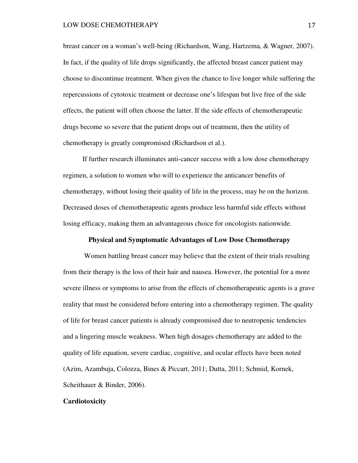breast cancer on a woman's well-being (Richardson, Wang, Hartzema, & Wagner, 2007). In fact, if the quality of life drops significantly, the affected breast cancer patient may choose to discontinue treatment. When given the chance to live longer while suffering the repercussions of cytotoxic treatment or decrease one's lifespan but live free of the side effects, the patient will often choose the latter. If the side effects of chemotherapeutic drugs become so severe that the patient drops out of treatment, then the utility of chemotherapy is greatly compromised (Richardson et al.).

 If further research illuminates anti-cancer success with a low dose chemotherapy regimen, a solution to women who will to experience the anticancer benefits of chemotherapy, without losing their quality of life in the process, may be on the horizon. Decreased doses of chemotherapeutic agents produce less harmful side effects without losing efficacy, making them an advantageous choice for oncologists nationwide.

# **Physical and Symptomatic Advantages of Low Dose Chemotherapy**

Women battling breast cancer may believe that the extent of their trials resulting from their therapy is the loss of their hair and nausea. However, the potential for a more severe illness or symptoms to arise from the effects of chemotherapeutic agents is a grave reality that must be considered before entering into a chemotherapy regimen. The quality of life for breast cancer patients is already compromised due to neutropenic tendencies and a lingering muscle weakness. When high dosages chemotherapy are added to the quality of life equation, severe cardiac, cognitive, and ocular effects have been noted (Azim, Azambuja, Colozza, Bines & Piccart, 2011; Dutta, 2011; Schmid, Kornek, Scheithauer & Binder, 2006).

#### **Cardiotoxicity**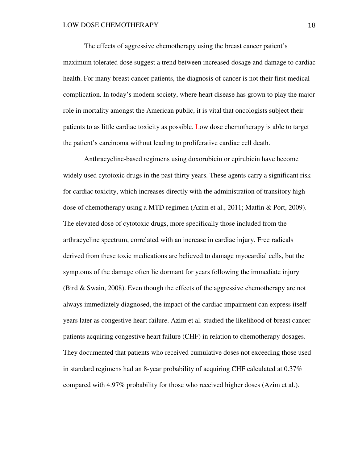The effects of aggressive chemotherapy using the breast cancer patient's maximum tolerated dose suggest a trend between increased dosage and damage to cardiac health. For many breast cancer patients, the diagnosis of cancer is not their first medical complication. In today's modern society, where heart disease has grown to play the major role in mortality amongst the American public, it is vital that oncologists subject their patients to as little cardiac toxicity as possible. Low dose chemotherapy is able to target the patient's carcinoma without leading to proliferative cardiac cell death.

 Anthracycline-based regimens using doxorubicin or epirubicin have become widely used cytotoxic drugs in the past thirty years. These agents carry a significant risk for cardiac toxicity, which increases directly with the administration of transitory high dose of chemotherapy using a MTD regimen (Azim et al., 2011; Matfin & Port, 2009). The elevated dose of cytotoxic drugs, more specifically those included from the arthracycline spectrum, correlated with an increase in cardiac injury. Free radicals derived from these toxic medications are believed to damage myocardial cells, but the symptoms of the damage often lie dormant for years following the immediate injury (Bird & Swain, 2008). Even though the effects of the aggressive chemotherapy are not always immediately diagnosed, the impact of the cardiac impairment can express itself years later as congestive heart failure. Azim et al. studied the likelihood of breast cancer patients acquiring congestive heart failure (CHF) in relation to chemotherapy dosages. They documented that patients who received cumulative doses not exceeding those used in standard regimens had an 8-year probability of acquiring CHF calculated at 0.37% compared with 4.97% probability for those who received higher doses (Azim et al.).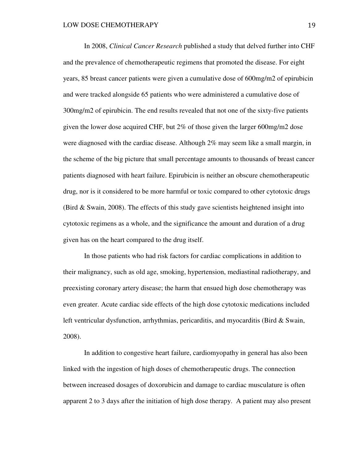In 2008, *Clinical Cancer Research* published a study that delved further into CHF and the prevalence of chemotherapeutic regimens that promoted the disease. For eight years, 85 breast cancer patients were given a cumulative dose of 600mg/m2 of epirubicin and were tracked alongside 65 patients who were administered a cumulative dose of 300mg/m2 of epirubicin. The end results revealed that not one of the sixty-five patients given the lower dose acquired CHF, but 2% of those given the larger 600mg/m2 dose were diagnosed with the cardiac disease. Although 2% may seem like a small margin, in the scheme of the big picture that small percentage amounts to thousands of breast cancer patients diagnosed with heart failure. Epirubicin is neither an obscure chemotherapeutic drug, nor is it considered to be more harmful or toxic compared to other cytotoxic drugs (Bird & Swain, 2008). The effects of this study gave scientists heightened insight into cytotoxic regimens as a whole, and the significance the amount and duration of a drug given has on the heart compared to the drug itself.

In those patients who had risk factors for cardiac complications in addition to their malignancy, such as old age, smoking, hypertension, mediastinal radiotherapy, and preexisting coronary artery disease; the harm that ensued high dose chemotherapy was even greater. Acute cardiac side effects of the high dose cytotoxic medications included left ventricular dysfunction, arrhythmias, pericarditis, and myocarditis (Bird & Swain, 2008).

 In addition to congestive heart failure, cardiomyopathy in general has also been linked with the ingestion of high doses of chemotherapeutic drugs. The connection between increased dosages of doxorubicin and damage to cardiac musculature is often apparent 2 to 3 days after the initiation of high dose therapy. A patient may also present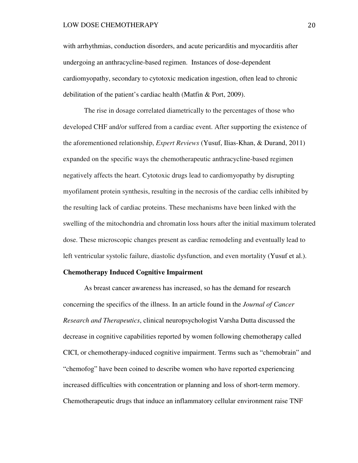with arrhythmias, conduction disorders, and acute pericarditis and myocarditis after undergoing an anthracycline-based regimen. Instances of dose-dependent cardiomyopathy, secondary to cytotoxic medication ingestion, often lead to chronic debilitation of the patient's cardiac health (Matfin & Port, 2009).

The rise in dosage correlated diametrically to the percentages of those who developed CHF and/or suffered from a cardiac event. After supporting the existence of the aforementioned relationship, *Expert Reviews* (Yusuf, Ilias-Khan, & Durand, 2011) expanded on the specific ways the chemotherapeutic anthracycline-based regimen negatively affects the heart. Cytotoxic drugs lead to cardiomyopathy by disrupting myofilament protein synthesis, resulting in the necrosis of the cardiac cells inhibited by the resulting lack of cardiac proteins. These mechanisms have been linked with the swelling of the mitochondria and chromatin loss hours after the initial maximum tolerated dose. These microscopic changes present as cardiac remodeling and eventually lead to left ventricular systolic failure, diastolic dysfunction, and even mortality (Yusuf et al.).

## **Chemotherapy Induced Cognitive Impairment**

 As breast cancer awareness has increased, so has the demand for research concerning the specifics of the illness. In an article found in the *Journal of Cancer Research and Therapeutics*, clinical neuropsychologist Varsha Dutta discussed the decrease in cognitive capabilities reported by women following chemotherapy called CICI, or chemotherapy-induced cognitive impairment. Terms such as "chemobrain" and "chemofog" have been coined to describe women who have reported experiencing increased difficulties with concentration or planning and loss of short-term memory. Chemotherapeutic drugs that induce an inflammatory cellular environment raise TNF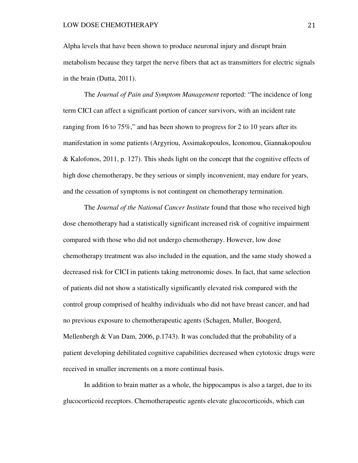Alpha levels that have been shown to produce neuronal injury and disrupt brain metabolism because they target the nerve fibers that act as transmitters for electric signals in the brain (Dutta, 2011).

The *Journal of Pain and Symptom Management* reported: "The incidence of long term CICI can affect a significant portion of cancer survivors, with an incident rate ranging from 16 to 75%," and has been shown to progress for 2 to 10 years after its manifestation in some patients (Argyriou, Assimakopoulos, Iconomou, Giannakopoulou & Kalofonos, 2011, p. 127). This sheds light on the concept that the cognitive effects of high dose chemotherapy, be they serious or simply inconvenient, may endure for years, and the cessation of symptoms is not contingent on chemotherapy termination.

The *Journal of the National Cancer Institute* found that those who received high dose chemotherapy had a statistically significant increased risk of cognitive impairment compared with those who did not undergo chemotherapy. However, low dose chemotherapy treatment was also included in the equation, and the same study showed a decreased risk for CICI in patients taking metronomic doses. In fact, that same selection of patients did not show a statistically significantly elevated risk compared with the control group comprised of healthy individuals who did not have breast cancer, and had no previous exposure to chemotherapeutic agents (Schagen, Muller, Boogerd, Mellenbergh & Van Dam, 2006, p.1743). It was concluded that the probability of a patient developing debilitated cognitive capabilities decreased when cytotoxic drugs were received in smaller increments on a more continual basis.

In addition to brain matter as a whole, the hippocampus is also a target, due to its glucocorticoid receptors. Chemotherapeutic agents elevate glucocorticoids, which can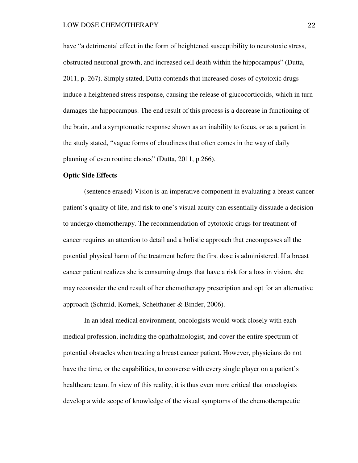have "a detrimental effect in the form of heightened susceptibility to neurotoxic stress, obstructed neuronal growth, and increased cell death within the hippocampus" (Dutta, 2011, p. 267). Simply stated, Dutta contends that increased doses of cytotoxic drugs induce a heightened stress response, causing the release of glucocorticoids, which in turn damages the hippocampus. The end result of this process is a decrease in functioning of the brain, and a symptomatic response shown as an inability to focus, or as a patient in the study stated, "vague forms of cloudiness that often comes in the way of daily planning of even routine chores" (Dutta, 2011, p.266).

## **Optic Side Effects**

 (sentence erased) Vision is an imperative component in evaluating a breast cancer patient's quality of life, and risk to one's visual acuity can essentially dissuade a decision to undergo chemotherapy. The recommendation of cytotoxic drugs for treatment of cancer requires an attention to detail and a holistic approach that encompasses all the potential physical harm of the treatment before the first dose is administered. If a breast cancer patient realizes she is consuming drugs that have a risk for a loss in vision, she may reconsider the end result of her chemotherapy prescription and opt for an alternative approach (Schmid, Kornek, Scheithauer & Binder, 2006).

 In an ideal medical environment, oncologists would work closely with each medical profession, including the ophthalmologist, and cover the entire spectrum of potential obstacles when treating a breast cancer patient. However, physicians do not have the time, or the capabilities, to converse with every single player on a patient's healthcare team. In view of this reality, it is thus even more critical that oncologists develop a wide scope of knowledge of the visual symptoms of the chemotherapeutic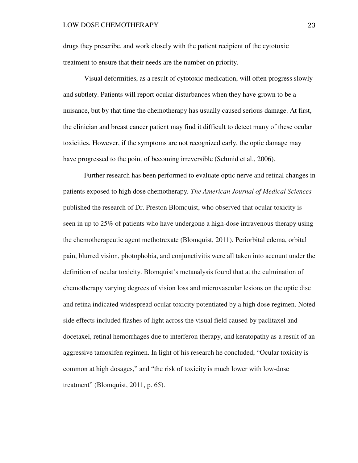drugs they prescribe, and work closely with the patient recipient of the cytotoxic treatment to ensure that their needs are the number on priority.

Visual deformities, as a result of cytotoxic medication, will often progress slowly and subtlety. Patients will report ocular disturbances when they have grown to be a nuisance, but by that time the chemotherapy has usually caused serious damage. At first, the clinician and breast cancer patient may find it difficult to detect many of these ocular toxicities. However, if the symptoms are not recognized early, the optic damage may have progressed to the point of becoming irreversible (Schmid et al., 2006).

Further research has been performed to evaluate optic nerve and retinal changes in patients exposed to high dose chemotherapy*. The American Journal of Medical Sciences* published the research of Dr. Preston Blomquist, who observed that ocular toxicity is seen in up to 25% of patients who have undergone a high-dose intravenous therapy using the chemotherapeutic agent methotrexate (Blomquist, 2011). Periorbital edema, orbital pain, blurred vision, photophobia, and conjunctivitis were all taken into account under the definition of ocular toxicity. Blomquist's metanalysis found that at the culmination of chemotherapy varying degrees of vision loss and microvascular lesions on the optic disc and retina indicated widespread ocular toxicity potentiated by a high dose regimen. Noted side effects included flashes of light across the visual field caused by paclitaxel and docetaxel, retinal hemorrhages due to interferon therapy, and keratopathy as a result of an aggressive tamoxifen regimen. In light of his research he concluded, "Ocular toxicity is common at high dosages," and "the risk of toxicity is much lower with low-dose treatment" (Blomquist, 2011, p. 65).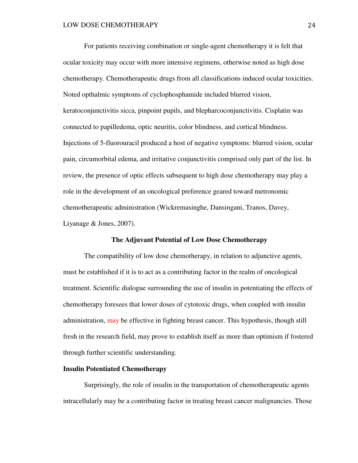For patients receiving combination or single-agent chemotherapy it is felt that ocular toxicity may occur with more intensive regimens, otherwise noted as high dose chemotherapy. Chemotherapeutic drugs from all classifications induced ocular toxicities. Noted opthalmic symptoms of cyclophosphamide included blurred vision, keratoconjunctivitis sicca, pinpoint pupils, and blepharcoconjunctivitis. Cisplatin was connected to papilledema, optic neuritis, color blindness, and cortical blindness. Injections of 5-fluorouracil produced a host of negative symptoms: blurred vision, ocular pain, circumorbital edema, and irritative conjunctivitis comprised only part of the list. In review, the presence of optic effects subsequent to high dose chemotherapy may play a role in the development of an oncological preference geared toward metronomic chemotherapeutic administration (Wickremasinghe, Dansingani, Tranos, Davey, Liyanage & Jones, 2007).

### **The Adjuvant Potential of Low Dose Chemotherapy**

The compatibility of low dose chemotherapy, in relation to adjunctive agents, must be established if it is to act as a contributing factor in the realm of oncological treatment. Scientific dialogue surrounding the use of insulin in potentiating the effects of chemotherapy foresees that lower doses of cytotoxic drugs, when coupled with insulin administration, may be effective in fighting breast cancer. This hypothesis, though still fresh in the research field, may prove to establish itself as more than optimism if fostered through further scientific understanding.

#### **Insulin Potentiated Chemotherapy**

Surprisingly, the role of insulin in the transportation of chemotherapeutic agents intracellularly may be a contributing factor in treating breast cancer malignancies. Those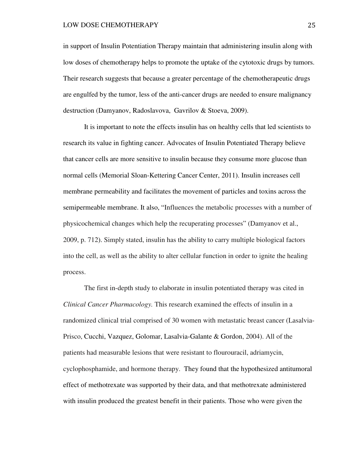#### LOW DOSE CHEMOTHERAPY 25

in support of Insulin Potentiation Therapy maintain that administering insulin along with low doses of chemotherapy helps to promote the uptake of the cytotoxic drugs by tumors. Their research suggests that because a greater percentage of the chemotherapeutic drugs are engulfed by the tumor, less of the anti-cancer drugs are needed to ensure malignancy destruction (Damyanov, Radoslavova, Gavrilov & Stoeva, 2009).

It is important to note the effects insulin has on healthy cells that led scientists to research its value in fighting cancer. Advocates of Insulin Potentiated Therapy believe that cancer cells are more sensitive to insulin because they consume more glucose than normal cells (Memorial Sloan-Kettering Cancer Center, 2011). Insulin increases cell membrane permeability and facilitates the movement of particles and toxins across the semipermeable membrane. It also, "Influences the metabolic processes with a number of physicochemical changes which help the recuperating processes" (Damyanov et al., 2009, p. 712). Simply stated, insulin has the ability to carry multiple biological factors into the cell, as well as the ability to alter cellular function in order to ignite the healing process.

The first in-depth study to elaborate in insulin potentiated therapy was cited in *Clinical Cancer Pharmacology.* This research examined the effects of insulin in a randomized clinical trial comprised of 30 women with metastatic breast cancer (Lasalvia-Prisco, Cucchi, Vazquez, Golomar, Lasalvia-Galante & Gordon, 2004). All of the patients had measurable lesions that were resistant to flourouracil, adriamycin, cyclophosphamide, and hormone therapy. They found that the hypothesized antitumoral effect of methotrexate was supported by their data, and that methotrexate administered with insulin produced the greatest benefit in their patients. Those who were given the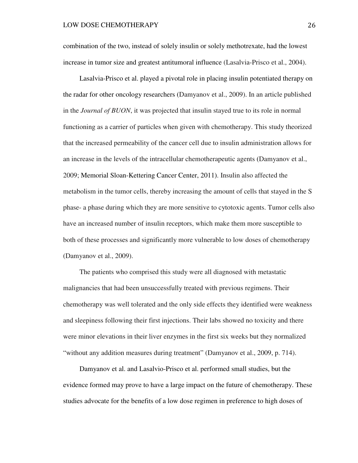combination of the two, instead of solely insulin or solely methotrexate, had the lowest increase in tumor size and greatest antitumoral influence (Lasalvia-Prisco et al., 2004).

Lasalvia-Prisco et al. played a pivotal role in placing insulin potentiated therapy on the radar for other oncology researchers (Damyanov et al., 2009). In an article published in the *Journal of BUON*, it was projected that insulin stayed true to its role in normal functioning as a carrier of particles when given with chemotherapy. This study theorized that the increased permeability of the cancer cell due to insulin administration allows for an increase in the levels of the intracellular chemotherapeutic agents (Damyanov et al., 2009; Memorial Sloan-Kettering Cancer Center, 2011). Insulin also affected the metabolism in the tumor cells, thereby increasing the amount of cells that stayed in the S phase- a phase during which they are more sensitive to cytotoxic agents. Tumor cells also have an increased number of insulin receptors, which make them more susceptible to both of these processes and significantly more vulnerable to low doses of chemotherapy (Damyanov et al., 2009).

 The patients who comprised this study were all diagnosed with metastatic malignancies that had been unsuccessfully treated with previous regimens. Their chemotherapy was well tolerated and the only side effects they identified were weakness and sleepiness following their first injections. Their labs showed no toxicity and there were minor elevations in their liver enzymes in the first six weeks but they normalized "without any addition measures during treatment" (Damyanov et al., 2009, p. 714).

 Damyanov et al. and Lasalvio-Prisco et al. performed small studies, but the evidence formed may prove to have a large impact on the future of chemotherapy. These studies advocate for the benefits of a low dose regimen in preference to high doses of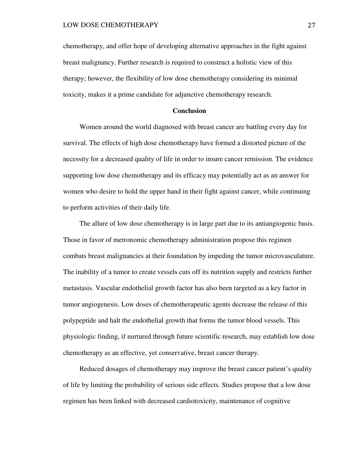chemotherapy, and offer hope of developing alternative approaches in the fight against breast malignancy. Further research is required to construct a holistic view of this therapy; however, the flexibility of low dose chemotherapy considering its minimal toxicity, makes it a prime candidate for adjunctive chemotherapy research.

# **Conclusion**

 Women around the world diagnosed with breast cancer are battling every day for survival. The effects of high dose chemotherapy have formed a distorted picture of the necessity for a decreased quality of life in order to insure cancer remission. The evidence supporting low dose chemotherapy and its efficacy may potentially act as an answer for women who desire to hold the upper hand in their fight against cancer, while continuing to perform activities of their daily life.

 The allure of low dose chemotherapy is in large part due to its antiangiogenic basis. Those in favor of metronomic chemotherapy administration propose this regimen combats breast malignancies at their foundation by impeding the tumor microvasculature. The inability of a tumor to create vessels cuts off its nutrition supply and restricts further metastasis. Vascular endothelial growth factor has also been targeted as a key factor in tumor angiogenesis. Low doses of chemotherapeutic agents decrease the release of this polypeptide and halt the endothelial growth that forms the tumor blood vessels. This physiologic finding, if nurtured through future scientific research, may establish low dose chemotherapy as an effective, yet conservative, breast cancer therapy.

 Reduced dosages of chemotherapy may improve the breast cancer patient's quality of life by limiting the probability of serious side effects. Studies propose that a low dose regimen has been linked with decreased cardiotoxicity, maintenance of cognitive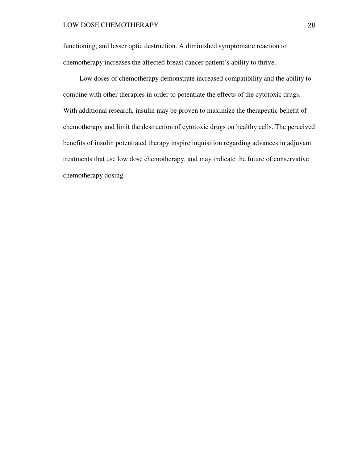### LOW DOSE CHEMOTHERAPY 28

functioning, and lesser optic destruction. A diminished symptomatic reaction to chemotherapy increases the affected breast cancer patient's ability to thrive.

 Low doses of chemotherapy demonstrate increased compatibility and the ability to combine with other therapies in order to potentiate the effects of the cytotoxic drugs. With additional research, insulin may be proven to maximize the therapeutic benefit of chemotherapy and limit the destruction of cytotoxic drugs on healthy cells. The perceived benefits of insulin potentiated therapy inspire inquisition regarding advances in adjuvant treatments that use low dose chemotherapy, and may indicate the future of conservative chemotherapy dosing.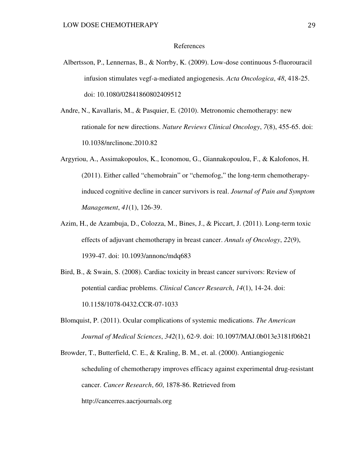### References

- Albertsson, P., Lennernas, B., & Norrby, K. (2009). Low-dose continuous 5-fluorouracil infusion stimulates vegf-a-mediated angiogenesis. *Acta Oncologica*, *48*, 418-25. doi: 10.1080/02841860802409512
- Andre, N., Kavallaris, M., & Pasquier, E. (2010). Metronomic chemotherapy: new rationale for new directions. *Nature Reviews Clinical Oncology*, *7*(8), 455-65. doi: 10.1038/nrclinonc.2010.82
- Argyriou, A., Assimakopoulos, K., Iconomou, G., Giannakopoulou, F., & Kalofonos, H. (2011). Either called "chemobrain" or "chemofog," the long-term chemotherapyinduced cognitive decline in cancer survivors is real. *Journal of Pain and Symptom Management*, *41*(1), 126-39.
- Azim, H., de Azambuja, D., Colozza, M., Bines, J., & Piccart, J. (2011). Long-term toxic effects of adjuvant chemotherapy in breast cancer. *Annals of Oncology*, *22*(9), 1939-47. doi: 10.1093/annonc/mdq683
- Bird, B., & Swain, S. (2008). Cardiac toxicity in breast cancer survivors: Review of potential cardiac problems. *Clinical Cancer Research*, *14*(1), 14-24. doi: 10.1158/1078-0432.CCR-07-1033
- Blomquist, P. (2011). Ocular complications of systemic medications. *The American Journal of Medical Sciences*, *342*(1), 62-9. doi: 10.1097/MAJ.0b013e3181f06b21
- Browder, T., Butterfield, C. E., & Kraling, B. M., et. al. (2000). Antiangiogenic scheduling of chemotherapy improves efficacy against experimental drug-resistant cancer. *Cancer Research*, *60*, 1878-86. Retrieved from http://cancerres.aacrjournals.org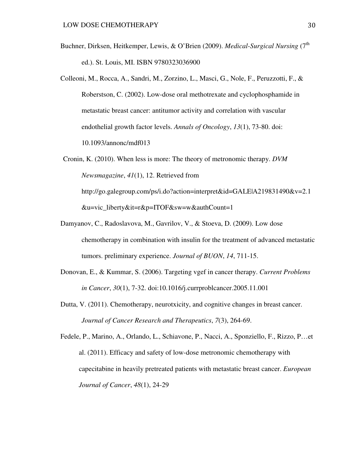- Buchner, Dirksen, Heitkemper, Lewis, & O'Brien (2009). *Medical-Surgical Nursing* (7<sup>th</sup>) ed.). St. Louis, MI. ISBN 9780323036900
- Colleoni, M., Rocca, A., Sandri, M., Zorzino, L., Masci, G., Nole, F., Peruzzotti, F., & Roberstson, C. (2002). Low-dose oral methotrexate and cyclophosphamide in metastatic breast cancer: antitumor activity and correlation with vascular endothelial growth factor levels. *Annals of Oncology*, *13*(1), 73-80. doi: 10.1093/annonc/mdf013
- Cronin, K. (2010). When less is more: The theory of metronomic therapy. *DVM Newsmagazine*, *41*(1), 12. Retrieved from http://go.galegroup.com/ps/i.do?action=interpret&id=GALE|A219831490&v=2.1 &u=vic\_liberty&it=r&p=ITOF&sw=w&authCount=1
- Damyanov, C., Radoslavova, M., Gavrilov, V., & Stoeva, D. (2009). Low dose chemotherapy in combination with insulin for the treatment of advanced metastatic tumors. preliminary experience. *Journal of BUON*, *14*, 711-15.
- Donovan, E., & Kummar, S. (2006). Targeting vgef in cancer therapy. *Current Problems in Cancer*, *30*(1), 7-32. doi:10.1016/j.currproblcancer.2005.11.001
- Dutta, V. (2011). Chemotherapy, neurotxicity, and cognitive changes in breast cancer. *Journal of Cancer Research and Therapeutics*, *7*(3), 264-69.

Fedele, P., Marino, A., Orlando, L., Schiavone, P., Nacci, A., Sponziello, F., Rizzo, P…et al. (2011). Efficacy and safety of low-dose metronomic chemotherapy with capecitabine in heavily pretreated patients with metastatic breast cancer. *European Journal of Cancer*, *48*(1), 24-29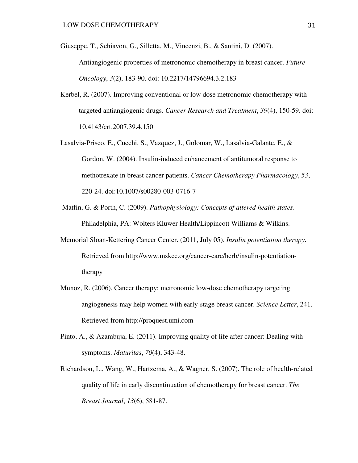- Giuseppe, T., Schiavon, G., Silletta, M., Vincenzi, B., & Santini, D. (2007). Antiangiogenic properties of metronomic chemotherapy in breast cancer. *Future Oncology*, *3*(2), 183-90. doi: 10.2217/14796694.3.2.183
- Kerbel, R. (2007). Improving conventional or low dose metronomic chemotherapy with targeted antiangiogenic drugs. *Cancer Research and Treatment*, *39*(4), 150-59. doi: 10.4143/crt.2007.39.4.150
- Lasalvia-Prisco, E., Cucchi, S., Vazquez, J., Golomar, W., Lasalvia-Galante, E., & Gordon, W. (2004). Insulin-induced enhancement of antitumoral response to methotrexate in breast cancer patients. *Cancer Chemotherapy Pharmacology*, *53*, 220-24. doi:10.1007/s00280-003-0716-7
- Matfin, G. & Porth, C. (2009). *Pathophysiology: Concepts of altered health states*. Philadelphia, PA: Wolters Kluwer Health/Lippincott Williams & Wilkins.
- Memorial Sloan-Kettering Cancer Center. (2011, July 05). *Insulin potentiation therapy*. Retrieved from http://www.mskcc.org/cancer-care/herb/insulin-potentiationtherapy
- Munoz, R. (2006). Cancer therapy; metronomic low-dose chemotherapy targeting angiogenesis may help women with early-stage breast cancer. *Science Letter*, 241. Retrieved from http://proquest.umi.com
- Pinto, A., & Azambuja, E. (2011). Improving quality of life after cancer: Dealing with symptoms. *Maturitas*, *70*(4), 343-48.
- Richardson, L., Wang, W., Hartzema, A., & Wagner, S. (2007). The role of health-related quality of life in early discontinuation of chemotherapy for breast cancer. *The Breast Journal*, *13*(6), 581-87.